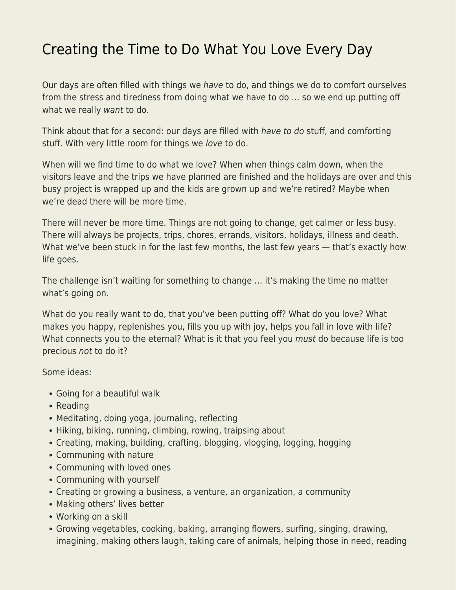## [Creating the Time to Do What You Love Every Day](https://everything-voluntary.com/creating-the-time-to-do-what-you-love-every-day)

Our days are often filled with things we have to do, and things we do to comfort ourselves from the stress and tiredness from doing what we have to do … so we end up putting off what we really want to do.

Think about that for a second: our days are filled with have to do stuff, and comforting stuff. With very little room for things we love to do.

When will we find time to do what we love? When when things calm down, when the visitors leave and the trips we have planned are finished and the holidays are over and this busy project is wrapped up and the kids are grown up and we're retired? Maybe when we're dead there will be more time.

There will never be more time. Things are not going to change, get calmer or less busy. There will always be projects, trips, chores, errands, visitors, holidays, illness and death. What we've been stuck in for the last few months, the last few years - that's exactly how life goes.

The challenge isn't waiting for something to change … it's making the time no matter what's going on.

What do you really want to do, that you've been putting off? What do you love? What makes you happy, replenishes you, fills you up with joy, helps you fall in love with life? What connects you to the eternal? What is it that you feel you must do because life is too precious not to do it?

Some ideas:

- Going for a beautiful walk
- Reading
- Meditating, doing yoga, journaling, reflecting
- Hiking, biking, running, climbing, rowing, traipsing about
- Creating, making, building, crafting, blogging, vlogging, logging, hogging
- Communing with nature
- Communing with loved ones
- Communing with yourself
- Creating or growing a business, a venture, an organization, a community
- Making others' lives better
- Working on a skill
- Growing vegetables, cooking, baking, arranging flowers, surfing, singing, drawing, imagining, making others laugh, taking care of animals, helping those in need, reading